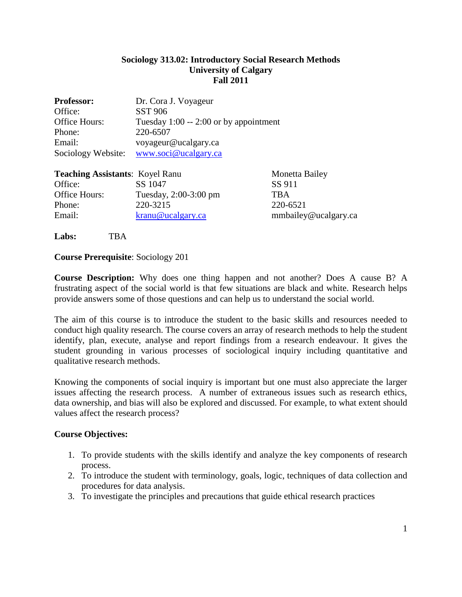## **Sociology 313.02: Introductory Social Research Methods University of Calgary Fall 2011**

| <b>Professor:</b>                      | Dr. Cora J. Voyageur                   |                       |  |
|----------------------------------------|----------------------------------------|-----------------------|--|
| Office:                                | <b>SST 906</b>                         |                       |  |
| Office Hours:                          | Tuesday 1:00 -- 2:00 or by appointment |                       |  |
| Phone:                                 | 220-6507                               |                       |  |
| Email:                                 | voyageur@ucalgary.ca                   |                       |  |
| Sociology Website:                     | www.soci@ucalgary.ca                   |                       |  |
| <b>Teaching Assistants: Koyel Ranu</b> |                                        | <b>Monetta Bailey</b> |  |
| Office:                                | SS 1047                                | SS 911                |  |
| Office Hours:                          | Tuesday, 2:00-3:00 pm                  | TBA                   |  |

Phone: 220-3215 220-6521 Email: [kranu@ucalgary.ca](https://webmail.ucalgary.ca/src/compose.php?send_to=kranu%40ucalgary.ca) mmbailey@ucalgary.ca

**Labs:** TBA

## **Course Prerequisite**: Sociology 201

**Course Description:** Why does one thing happen and not another? Does A cause B? A frustrating aspect of the social world is that few situations are black and white. Research helps provide answers some of those questions and can help us to understand the social world.

The aim of this course is to introduce the student to the basic skills and resources needed to conduct high quality research. The course covers an array of research methods to help the student identify, plan, execute, analyse and report findings from a research endeavour. It gives the student grounding in various processes of sociological inquiry including quantitative and qualitative research methods.

Knowing the components of social inquiry is important but one must also appreciate the larger issues affecting the research process. A number of extraneous issues such as research ethics, data ownership, and bias will also be explored and discussed. For example, to what extent should values affect the research process?

## **Course Objectives:**

- 1. To provide students with the skills identify and analyze the key components of research process.
- 2. To introduce the student with terminology, goals, logic, techniques of data collection and procedures for data analysis.
- 3. To investigate the principles and precautions that guide ethical research practices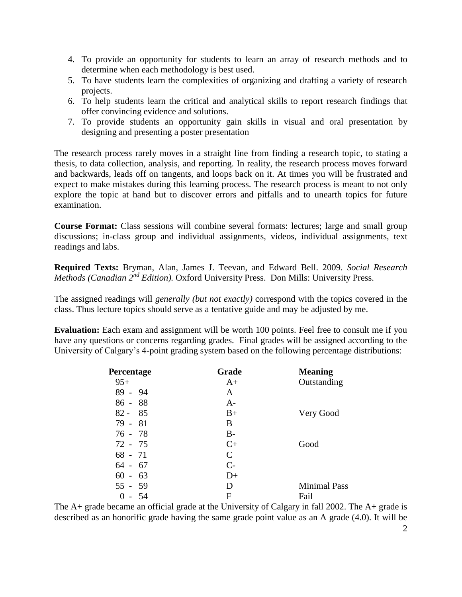- 4. To provide an opportunity for students to learn an array of research methods and to determine when each methodology is best used.
- 5. To have students learn the complexities of organizing and drafting a variety of research projects.
- 6. To help students learn the critical and analytical skills to report research findings that offer convincing evidence and solutions.
- 7. To provide students an opportunity gain skills in visual and oral presentation by designing and presenting a poster presentation

The research process rarely moves in a straight line from finding a research topic, to stating a thesis, to data collection, analysis, and reporting. In reality, the research process moves forward and backwards, leads off on tangents, and loops back on it. At times you will be frustrated and expect to make mistakes during this learning process. The research process is meant to not only explore the topic at hand but to discover errors and pitfalls and to unearth topics for future examination.

**Course Format:** Class sessions will combine several formats: lectures; large and small group discussions; in-class group and individual assignments, videos, individual assignments, text readings and labs.

**Required Texts:** Bryman, Alan, James J. Teevan, and Edward Bell. 2009. *Social Research Methods (Canadian 2<sup>nd</sup> Edition).* Oxford University Press. Don Mills: University Press.

The assigned readings will *generally (but not exactly)* correspond with the topics covered in the class. Thus lecture topics should serve as a tentative guide and may be adjusted by me.

**Evaluation:** Each exam and assignment will be worth 100 points. Feel free to consult me if you have any questions or concerns regarding grades. Final grades will be assigned according to the University of Calgary's 4-point grading system based on the following percentage distributions:

| <b>Percentage</b> | Grade                | <b>Meaning</b>      |
|-------------------|----------------------|---------------------|
| $95+$             | $A+$                 | Outstanding         |
| $89 - 94$         | A                    |                     |
| $86 - 88$         | $A-$                 |                     |
| $82 - 85$         | $B+$                 | Very Good           |
| $79 - 81$         | B                    |                     |
| $76 - 78$         | $B-$                 |                     |
| 72 - 75           | $C+$                 | Good                |
| $68 - 71$         | C                    |                     |
| $64 - 67$         | $\mathsf{C}\text{-}$ |                     |
| $60 - 63$         | $D+$                 |                     |
| $55 - 59$         | Ð                    | <b>Minimal Pass</b> |
| - 54<br>0         | F                    | Fail                |

The A+ grade became an official grade at the University of Calgary in fall 2002. The A+ grade is described as an honorific grade having the same grade point value as an A grade (4.0). It will be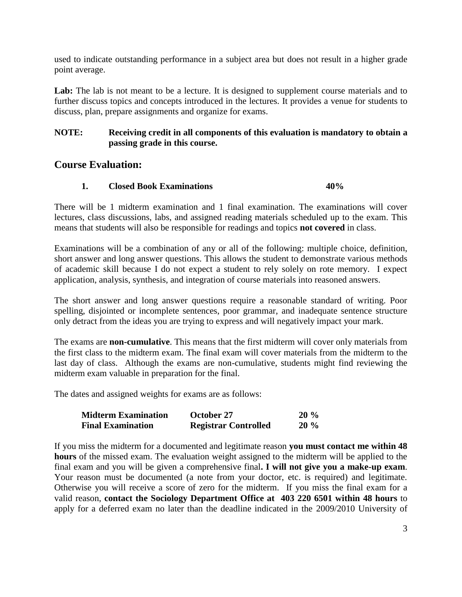used to indicate outstanding performance in a subject area but does not result in a higher grade point average.

Lab: The lab is not meant to be a lecture. It is designed to supplement course materials and to further discuss topics and concepts introduced in the lectures. It provides a venue for students to discuss, plan, prepare assignments and organize for exams.

## **NOTE: Receiving credit in all components of this evaluation is mandatory to obtain a passing grade in this course.**

# **Course Evaluation:**

## **1. Closed Book Examinations 40%**

There will be 1 midterm examination and 1 final examination. The examinations will cover lectures, class discussions, labs, and assigned reading materials scheduled up to the exam. This means that students will also be responsible for readings and topics **not covered** in class.

Examinations will be a combination of any or all of the following: multiple choice, definition, short answer and long answer questions. This allows the student to demonstrate various methods of academic skill because I do not expect a student to rely solely on rote memory. I expect application, analysis, synthesis, and integration of course materials into reasoned answers.

The short answer and long answer questions require a reasonable standard of writing. Poor spelling, disjointed or incomplete sentences, poor grammar, and inadequate sentence structure only detract from the ideas you are trying to express and will negatively impact your mark.

The exams are **non-cumulative**. This means that the first midterm will cover only materials from the first class to the midterm exam. The final exam will cover materials from the midterm to the last day of class. Although the exams are non-cumulative, students might find reviewing the midterm exam valuable in preparation for the final.

The dates and assigned weights for exams are as follows:

| <b>Midterm Examination</b> | October 27                  | $20\%$ |
|----------------------------|-----------------------------|--------|
| <b>Final Examination</b>   | <b>Registrar Controlled</b> | $20\%$ |

If you miss the midterm for a documented and legitimate reason **you must contact me within 48 hours** of the missed exam. The evaluation weight assigned to the midterm will be applied to the final exam and you will be given a comprehensive final**. I will not give you a make-up exam**. Your reason must be documented (a note from your doctor, etc. is required) and legitimate. Otherwise you will receive a score of zero for the midterm. If you miss the final exam for a valid reason, **contact the Sociology Department Office at 403 220 6501 within 48 hours** to apply for a deferred exam no later than the deadline indicated in the 2009/2010 University of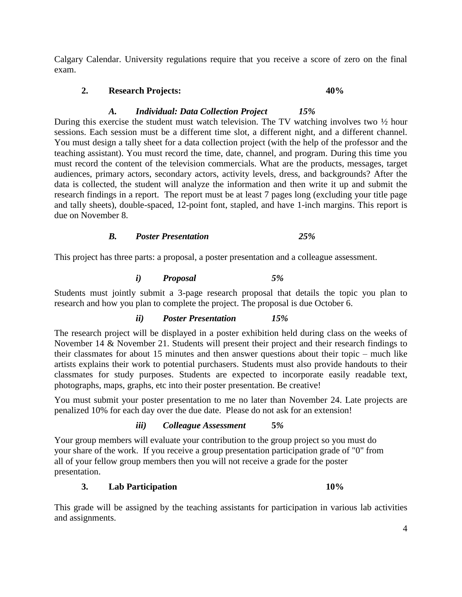Calgary Calendar. University regulations require that you receive a score of zero on the final exam.

## **2. Research Projects: 40%**

## *A. Individual: Data Collection Project 15%*

During this exercise the student must watch television. The TV watching involves two ½ hour sessions. Each session must be a different time slot, a different night, and a different channel. You must design a tally sheet for a data collection project (with the help of the professor and the teaching assistant). You must record the time, date, channel, and program. During this time you must record the content of the television commercials. What are the products, messages, target audiences, primary actors, secondary actors, activity levels, dress, and backgrounds? After the data is collected, the student will analyze the information and then write it up and submit the research findings in a report. The report must be at least 7 pages long (excluding your title page and tally sheets), double-spaced, 12-point font, stapled, and have 1-inch margins. This report is due on November 8.

## *B. Poster Presentation 25%*

This project has three parts: a proposal, a poster presentation and a colleague assessment.

## *i) Proposal 5%*

Students must jointly submit a 3-page research proposal that details the topic you plan to research and how you plan to complete the project. The proposal is due October 6.

## *ii) Poster Presentation 15%*

The research project will be displayed in a poster exhibition held during class on the weeks of November 14 & November 21. Students will present their project and their research findings to their classmates for about 15 minutes and then answer questions about their topic – much like artists explains their work to potential purchasers. Students must also provide handouts to their classmates for study purposes. Students are expected to incorporate easily readable text, photographs, maps, graphs, etc into their poster presentation. Be creative!

You must submit your poster presentation to me no later than November 24. Late projects are penalized 10% for each day over the due date. Please do not ask for an extension!

## *iii) Colleague Assessment* **5***%*

Your group members will evaluate your contribution to the group project so you must do your share of the work. If you receive a group presentation participation grade of "0" from all of your fellow group members then you will not receive a grade for the poster presentation.

## **3. Lab Participation 10%**

This grade will be assigned by the teaching assistants for participation in various lab activities and assignments.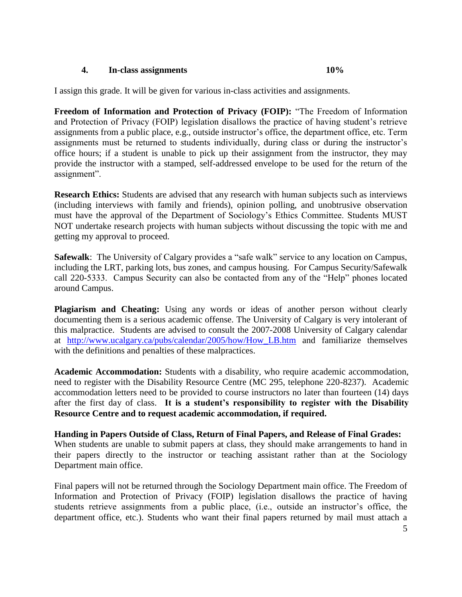#### **4. In-class assignments 10%**

I assign this grade. It will be given for various in-class activities and assignments.

**Freedom of Information and Protection of Privacy (FOIP):** "The Freedom of Information and Protection of Privacy (FOIP) legislation disallows the practice of having student's retrieve assignments from a public place, e.g., outside instructor's office, the department office, etc. Term assignments must be returned to students individually, during class or during the instructor's office hours; if a student is unable to pick up their assignment from the instructor, they may provide the instructor with a stamped, self-addressed envelope to be used for the return of the assignment".

**Research Ethics:** Students are advised that any research with human subjects such as interviews (including interviews with family and friends), opinion polling, and unobtrusive observation must have the approval of the Department of Sociology's Ethics Committee. Students MUST NOT undertake research projects with human subjects without discussing the topic with me and getting my approval to proceed.

**Safewalk**: The University of Calgary provides a "safe walk" service to any location on Campus, including the LRT, parking lots, bus zones, and campus housing. For Campus Security/Safewalk call 220-5333. Campus Security can also be contacted from any of the "Help" phones located around Campus.

**Plagiarism and Cheating:** Using any words or ideas of another person without clearly documenting them is a serious academic offense. The University of Calgary is very intolerant of this malpractice. Students are advised to consult the 2007-2008 University of Calgary calendar at [http://www.ucalgary.ca/pubs/calendar/2005/how/How\\_LB.htm](http://www.ucalgary.ca/pubs/calendar/2005/how/How_LB.htm) and familiarize themselves with the definitions and penalties of these malpractices.

**Academic Accommodation:** Students with a disability, who require academic accommodation, need to register with the Disability Resource Centre (MC 295, telephone 220-8237). Academic accommodation letters need to be provided to course instructors no later than fourteen (14) days after the first day of class. **It is a student's responsibility to register with the Disability Resource Centre and to request academic accommodation, if required.** 

**Handing in Papers Outside of Class, Return of Final Papers, and Release of Final Grades:** When students are unable to submit papers at class, they should make arrangements to hand in their papers directly to the instructor or teaching assistant rather than at the Sociology Department main office.

Final papers will not be returned through the Sociology Department main office. The Freedom of Information and Protection of Privacy (FOIP) legislation disallows the practice of having students retrieve assignments from a public place, (i.e., outside an instructor's office, the department office, etc.). Students who want their final papers returned by mail must attach a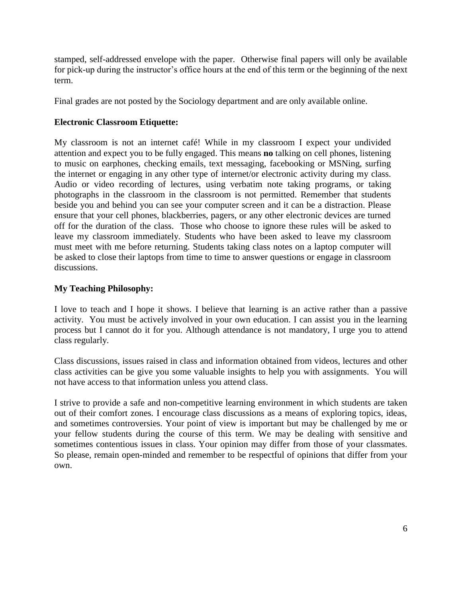stamped, self-addressed envelope with the paper. Otherwise final papers will only be available for pick-up during the instructor's office hours at the end of this term or the beginning of the next term.

Final grades are not posted by the Sociology department and are only available online.

## **Electronic Classroom Etiquette:**

My classroom is not an internet café! While in my classroom I expect your undivided attention and expect you to be fully engaged. This means **no** talking on cell phones, listening to music on earphones, checking emails, text messaging, facebooking or MSNing, surfing the internet or engaging in any other type of internet/or electronic activity during my class. Audio or video recording of lectures, using verbatim note taking programs, or taking photographs in the classroom in the classroom is not permitted. Remember that students beside you and behind you can see your computer screen and it can be a distraction. Please ensure that your cell phones, blackberries, pagers, or any other electronic devices are turned off for the duration of the class. Those who choose to ignore these rules will be asked to leave my classroom immediately. Students who have been asked to leave my classroom must meet with me before returning. Students taking class notes on a laptop computer will be asked to close their laptops from time to time to answer questions or engage in classroom discussions.

# **My Teaching Philosophy:**

I love to teach and I hope it shows. I believe that learning is an active rather than a passive activity. You must be actively involved in your own education. I can assist you in the learning process but I cannot do it for you. Although attendance is not mandatory, I urge you to attend class regularly.

Class discussions, issues raised in class and information obtained from videos, lectures and other class activities can be give you some valuable insights to help you with assignments. You will not have access to that information unless you attend class.

I strive to provide a safe and non-competitive learning environment in which students are taken out of their comfort zones. I encourage class discussions as a means of exploring topics, ideas, and sometimes controversies. Your point of view is important but may be challenged by me or your fellow students during the course of this term. We may be dealing with sensitive and sometimes contentious issues in class. Your opinion may differ from those of your classmates. So please, remain open-minded and remember to be respectful of opinions that differ from your own.